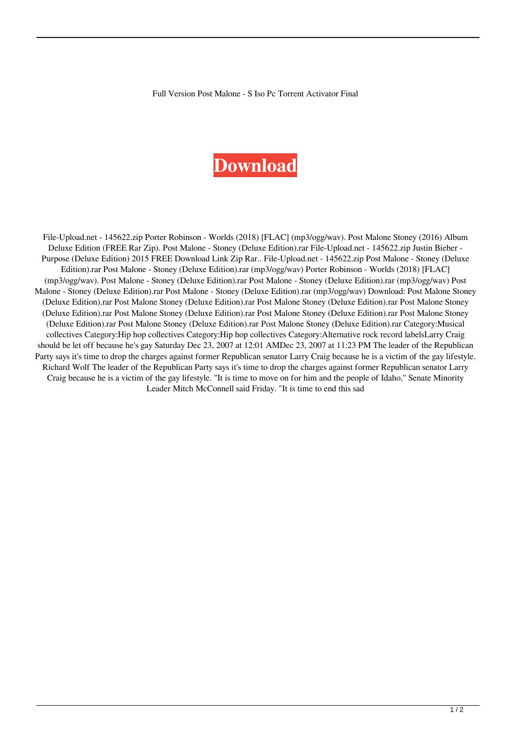Full Version Post Malone - S Iso Pc Torrent Activator Final

## **[Download](http://evacdir.com/benevolent.dallaire/ZG93bmxvYWR8bThZTWpOeVlueDhNVFkxTWpjME1EZzJObng4TWpVM05IeDhLRTBwSUhKbFlXUXRZbXh2WnlCYlJtRnpkQ0JIUlU1ZA/flaton=fluting/UG9zdCBNYWxvbmUgLSBTdG9uZXkgKERlbHV4ZSBFZGl0aW9uKSAucmFyUG9=mobsters/glycerins.indebted)**

File-Upload.net - 145622.zip Porter Robinson - Worlds (2018) [FLAC] (mp3/ogg/wav). Post Malone Stoney (2016) Album Deluxe Edition (FREE Rar Zip). Post Malone - Stoney (Deluxe Edition).rar File-Upload.net - 145622.zip Justin Bieber - Purpose (Deluxe Edition) 2015 FREE Download Link Zip Rar.. File-Upload.net - 145622.zip Post Malone - Stoney (Deluxe Edition).rar Post Malone - Stoney (Deluxe Edition).rar (mp3/ogg/wav) Porter Robinson - Worlds (2018) [FLAC] (mp3/ogg/wav). Post Malone - Stoney (Deluxe Edition).rar Post Malone - Stoney (Deluxe Edition).rar (mp3/ogg/wav) Post Malone - Stoney (Deluxe Edition).rar Post Malone - Stoney (Deluxe Edition).rar (mp3/ogg/wav) Download: Post Malone Stoney (Deluxe Edition).rar Post Malone Stoney (Deluxe Edition).rar Post Malone Stoney (Deluxe Edition).rar Post Malone Stoney (Deluxe Edition).rar Post Malone Stoney (Deluxe Edition).rar Post Malone Stoney (Deluxe Edition).rar Post Malone Stoney (Deluxe Edition).rar Post Malone Stoney (Deluxe Edition).rar Post Malone Stoney (Deluxe Edition).rar Category:Musical collectives Category:Hip hop collectives Category:Hip hop collectives Category:Alternative rock record labelsLarry Craig should be let off because he's gay Saturday Dec 23, 2007 at 12:01 AMDec 23, 2007 at 11:23 PM The leader of the Republican Party says it's time to drop the charges against former Republican senator Larry Craig because he is a victim of the gay lifestyle. Richard Wolf The leader of the Republican Party says it's time to drop the charges against former Republican senator Larry Craig because he is a victim of the gay lifestyle. "It is time to move on for him and the people of Idaho," Senate Minority Leader Mitch McConnell said Friday. "It is time to end this sad